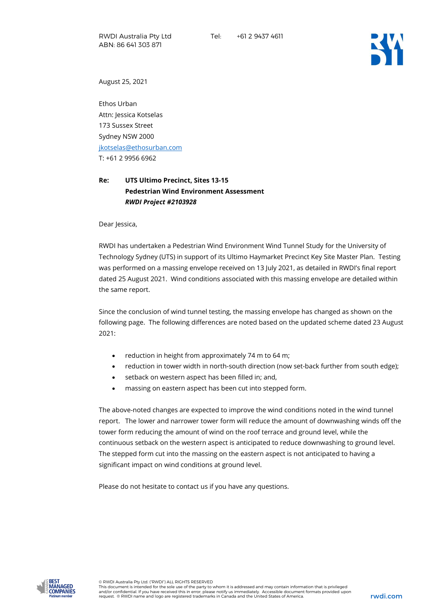

August 25, 2021

Ethos Urban Attn: Jessica Kotselas 173 Sussex Street Sydney NSW 2000 [jkotselas@ethosurban.com](mailto:jkotselas@ethosurban.com) T: +61 2 9956 6962

## **Re: UTS Ultimo Precinct, Sites 13-15 Pedestrian Wind Environment Assessment** *RWDI Project #2103928*

Dear Jessica,

RWDI has undertaken a Pedestrian Wind Environment Wind Tunnel Study for the University of Technology Sydney (UTS) in support of its Ultimo Haymarket Precinct Key Site Master Plan. Testing was performed on a massing envelope received on 13 July 2021, as detailed in RWDI's final report dated 25 August 2021. Wind conditions associated with this massing envelope are detailed within the same report.

Since the conclusion of wind tunnel testing, the massing envelope has changed as shown on the following page. The following differences are noted based on the updated scheme dated 23 August 2021:

- reduction in height from approximately 74 m to 64 m;
- reduction in tower width in north-south direction (now set-back further from south edge);
- setback on western aspect has been filled in; and,
- massing on eastern aspect has been cut into stepped form.

The above-noted changes are expected to improve the wind conditions noted in the wind tunnel report. The lower and narrower tower form will reduce the amount of downwashing winds off the tower form reducing the amount of wind on the roof terrace and ground level, while the continuous setback on the western aspect is anticipated to reduce downwashing to ground level. The stepped form cut into the massing on the eastern aspect is not anticipated to having a significant impact on wind conditions at ground level.

Please do not hesitate to contact us if you have any questions.